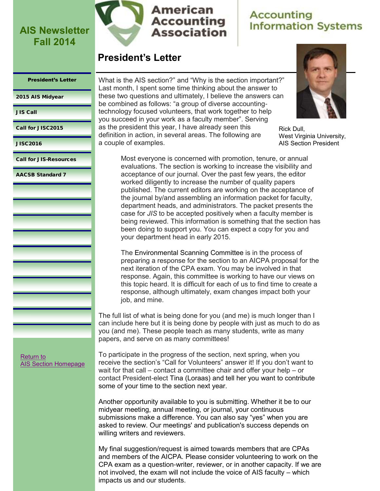

## **Accounting Information Systems**

### **President's Letter**

#### <span id="page-0-0"></span>President's Letter

[2015 AIS Midyear](#page-2-0)

[JIS Call](#page-3-0)

[Call for JISC2015](#page-5-0)

[JISC2016](#page-7-0)

[Call for JIS-Resources](#page-8-0)

[AACSB Standard 7](#page-9-0)

What is the AIS section?" and "Why is the section important?" Last month, I spent some time thinking about the answer to these two questions and ultimately, I believe the answers can be combined as follows: "a group of diverse accountingtechnology focused volunteers, that work together to help you succeed in your work as a faculty member". Serving as the president this year, I have already seen this definition in action, in several areas. The following are a couple of examples.



Rick Dull, West Virginia University, AIS Section President

Most everyone is concerned with promotion, tenure, or annual evaluations. The section is working to increase the visibility and acceptance of our journal. Over the past few years, the editor worked diligently to increase the number of quality papers published. The current editors are working on the acceptance of the journal by/and assembling an information packet for faculty, department heads, and administrators. The packet presents the case for *JIS* to be accepted positively when a faculty member is being reviewed. This information is something that the section has been doing to support you. You can expect a copy for you and your department head in early 2015.

The Environmental Scanning Committee is in the process of preparing a response for the section to an AICPA proposal for the next iteration of the CPA exam. You may be involved in that response. Again, this committee is working to have our views on this topic heard. It is difficult for each of us to find time to create a response, although ultimately, exam changes impact both your job, and mine.

The full list of what is being done for you (and me) is much longer than I can include here but it is being done by people with just as much to do as you (and me). These people teach as many students, write as many papers, and serve on as many committees!

[Return to](http://aaahq.org/infosys/index.html)  [AIS Section Homepage](http://aaahq.org/infosys/index.html) To participate in the progress of the section, next spring, when you receive the section's "Call for Volunteers" answer it! If you don't want to wait for that call – contact a committee chair and offer your help – or contact President-elect Tina (Loraas) and tell her you want to contribute some of your time to the section next year.

Another opportunity available to you is submitting. Whether it be to our midyear meeting, annual meeting, or journal, your continuous submissions make a difference. You can also say "yes" when you are asked to review. Our meetings' and publication's success depends on willing writers and reviewers.

My final suggestion/request is aimed towards members that are CPAs and members of the AICPA. Please consider volunteering to work on the CPA exam as a question-writer, reviewer, or in another capacity. If we are not involved, the exam will not include the voice of AIS faculty – which impacts us and our students.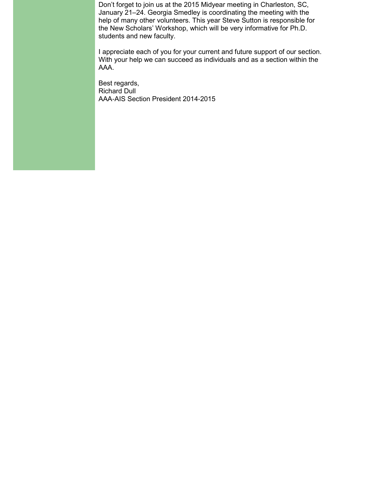Don't forget to join us at the 2015 Midyear meeting in Charleston, SC, January 21–24. Georgia Smedley is coordinating the meeting with the help of many other volunteers. This year Steve Sutton is responsible for the New Scholars' Workshop, which will be very informative for Ph.D. students and new faculty.

I appreciate each of you for your current and future support of our section. With your help we can succeed as individuals and as a section within the AAA.

Best regards, Richard Dull AAA-AIS Section President 2014-2015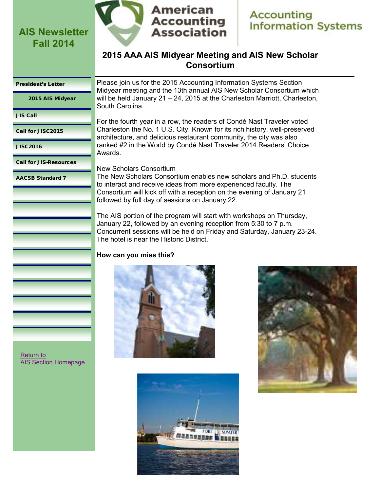<span id="page-2-0"></span>



### **2015 AAA AIS Midyear Meeting and AIS New Scholar Consortium**

#### [President's Letter](#page-0-0)

2015 AIS Midyear

[JIS Call](#page-3-0)

[Call for JISC2015](#page-5-0)

[JISC2016](#page-7-0)

[Call for JIS-Resources](#page-8-0)

[AACSB Standard 7](#page-9-0)

Please join us for the 2015 Accounting Information Systems Section Midyear meeting and the 13th annual AIS New Scholar Consortium which will be held January 21 – 24, 2015 at the Charleston Marriott, Charleston, South Carolina.

For the fourth year in a row, the readers of Condé Nast Traveler voted Charleston the No. 1 U.S. City. Known for its rich history, well-preserved architecture, and delicious restaurant community, the city was also ranked #2 in the World by Condé Nast Traveler 2014 Readers' Choice Awards.

New Scholars Consortium

The New Scholars Consortium enables new scholars and Ph.D. students to interact and receive ideas from more experienced faculty. The Consortium will kick off with a reception on the evening of January 21 followed by full day of sessions on January 22.

The AIS portion of the program will start with workshops on Thursday, January 22, followed by an evening reception from 5:30 to 7 p.m. Concurrent sessions will be held on Friday and Saturday, January 23-24. The hotel is near the Historic District.

#### **How can you miss this?**





[Return to](http://aaahq.org/infosys/index.html)  [AIS Section Homepage](http://aaahq.org/infosys/index.html)

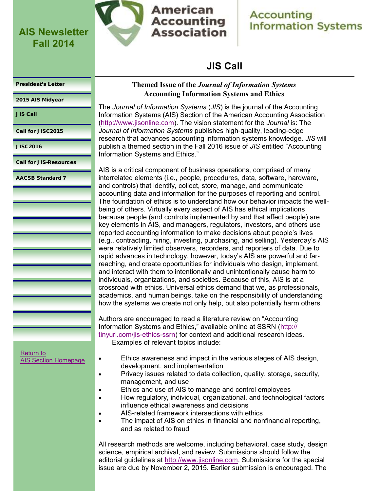<span id="page-3-0"></span>

**American Accounting Association** 

### **Accounting Information Systems**

### **JIS Call**

#### [President's Letter](#page-0-0)

[2015 AIS Midyear](#page-2-0)

- JIS Call
- [Call for JISC2015](#page-5-0)

[JISC2016](#page-7-0)

[Call for JIS-Resources](#page-8-0)

[AACSB Standard 7](#page-9-0)

### **Themed Issue of the** *Journal of Information Systems* **Accounting Information Systems and Ethics**

The *Journal of Information Systems* (*JIS*) is the journal of the Accounting Information Systems (AIS) Section of the American Accounting Association ([http://www.jisonline.com\)](http://www.jisonline.com). The vision statement for the *Journal* is: The *Journal of Information Systems* publishes high-quality, leading-edge research that advances accounting information systems knowledge. *JIS* will publish a themed section in the Fall 2016 issue of *JIS* entitled "Accounting Information Systems and Ethics."

AIS is a critical component of business operations, comprised of many interrelated elements (i.e., people, procedures, data, software, hardware, and controls) that identify, collect, store, manage, and communicate accounting data and information for the purposes of reporting and control. The foundation of ethics is to understand how our behavior impacts the wellbeing of others. Virtually every aspect of AIS has ethical implications because people (and controls implemented by and that affect people) are key elements in AIS, and managers, regulators, investors, and others use reported accounting information to make decisions about people's lives (e.g., contracting, hiring, investing, purchasing, and selling). Yesterday's AIS were relatively limited observers, recorders, and reporters of data. Due to rapid advances in technology, however, today's AIS are powerful and farreaching, and create opportunities for individuals who design, implement, and interact with them to intentionally and unintentionally cause harm to individuals, organizations, and societies. Because of this, AIS is at a crossroad with ethics. Universal ethics demand that we, as professionals, academics, and human beings, take on the responsibility of understanding how the systems we create not only help, but also potentially harm others.

Authors are encouraged to read a literature review on "Accounting Information Systems and Ethics," available online at SSRN ([http://](http://tinyurl.com/jis-ethics-ssrn) [tinyurl.com/jis-ethics-ssrn\)](http://tinyurl.com/jis-ethics-ssrn) for context and additional research ideas. Examples of relevant topics include:

[Return to](http://aaahq.org/infosys/index.html)  [AIS Section Homepage](http://aaahq.org/infosys/index.html)

- Ethics awareness and impact in the various stages of AIS design, development, and implementation
- Privacy issues related to data collection, quality, storage, security, management, and use
- Ethics and use of AIS to manage and control employees
- How regulatory, individual, organizational, and technological factors influence ethical awareness and decisions
- AIS-related framework intersections with ethics
- The impact of AIS on ethics in financial and nonfinancial reporting, and as related to fraud

All research methods are welcome, including behavioral, case study, design science, empirical archival, and review. Submissions should follow the editorial guidelines at [http://www.jisonline.com.](http://www.jisonline.com) Submissions for the special issue are due by November 2, 2015. Earlier submission is encouraged. The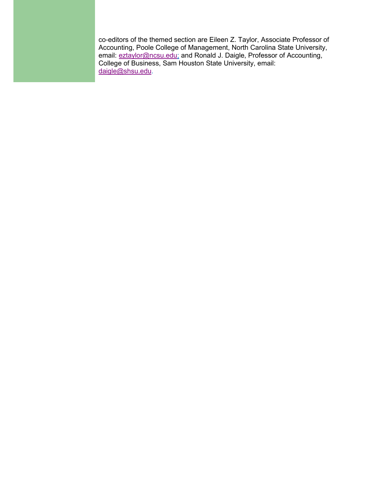co-editors of the themed section are Eileen Z. Taylor, Associate Professor of Accounting, Poole College of Management, North Carolina State University, email: [eztaylor@ncsu.edu;](mailto:eztaylor@ncsu.edu) and Ronald J. Daigle, Professor of Accounting, College of Business, Sam Houston State University, email: [daigle@shsu.edu.](mailto:daigle@shsu.edu)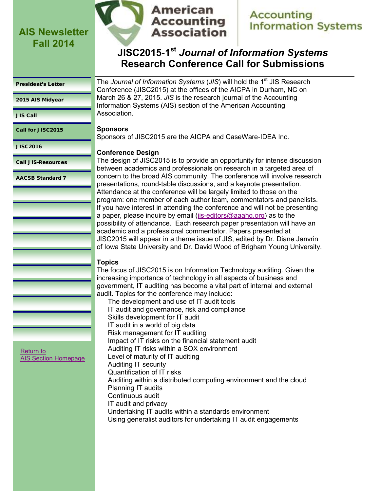

### **American Accounting Association**

**Accounting Information Systems** 

## **JISC2015-1 st** *Journal of Information Systems*  **Research Conference Call for Submissions**

#### <span id="page-5-0"></span>[President's Letter](#page-0-0)

[2015 AIS Midyear](#page-2-0)

[JIS Call](#page-3-0)

Call for JISC2015

[JISC2016](#page-7-0)

[Call JIS-Resources](#page-8-0)

[AACSB Standard 7](#page-9-0)

The *Journal of Information Systems* (*JIS*) will hold the 1<sup>st</sup> JIS Research Conference (JISC2015) at the offices of the AICPA in Durham, NC on March 26 & 27, 2015. *JIS* is the research journal of the Accounting Information Systems (AIS) section of the American Accounting Association.

#### **Sponsors**

Sponsors of JISC2015 are the AICPA and CaseWare-IDEA Inc.

#### **Conference Design**

The design of JISC2015 is to provide an opportunity for intense discussion between academics and professionals on research in a targeted area of concern to the broad AIS community. The conference will involve research presentations, round-table discussions, and a keynote presentation. Attendance at the conference will be largely limited to those on the program: one member of each author team, commentators and panelists. If you have interest in attending the conference and will not be presenting a paper, please inquire by email ([jis-editors@aaahq.org\)](mailto:jis-editors@aaahq.org) as to the possibility of attendance. Each research paper presentation will have an academic and a professional commentator. Papers presented at JISC2015 will appear in a theme issue of JIS, edited by Dr. Diane Janvrin of Iowa State University and Dr. David Wood of Brigham Young University.

#### **Topics**

The focus of JISC2015 is on Information Technology auditing. Given the increasing importance of technology in all aspects of business and government, IT auditing has become a vital part of internal and external audit. Topics for the conference may include:

The development and use of IT audit tools IT audit and governance, risk and compliance Skills development for IT audit IT audit in a world of big data Risk management for IT auditing Impact of IT risks on the financial statement audit Auditing IT risks within a SOX environment Level of maturity of IT auditing Auditing IT security Quantification of IT risks Auditing within a distributed computing environment and the cloud Planning IT audits Continuous audit IT audit and privacy Undertaking IT audits within a standards environment Using generalist auditors for undertaking IT audit engagements

[Return to](http://aaahq.org/infosys/index.html)  [AIS Section Homepage](http://aaahq.org/infosys/index.html)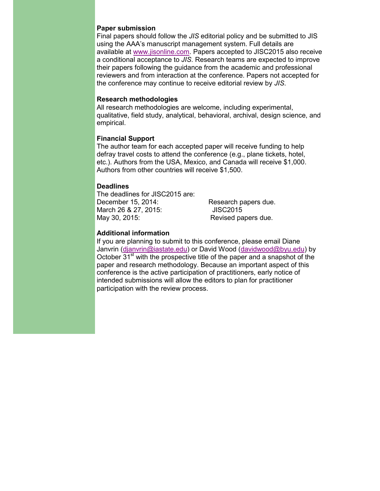#### **Paper submission**

Final papers should follow the *JIS* editorial policy and be submitted to JIS using the AAA's manuscript management system. Full details are available at [www.jisonline.com.](http://www.jisonline.com) Papers accepted to JISC2015 also receive a conditional acceptance to *JIS*. Research teams are expected to improve their papers following the guidance from the academic and professional reviewers and from interaction at the conference. Papers not accepted for the conference may continue to receive editorial review by *JIS*.

#### **Research methodologies**

All research methodologies are welcome, including experimental, qualitative, field study, analytical, behavioral, archival, design science, and empirical.

#### **Financial Support**

The author team for each accepted paper will receive funding to help defray travel costs to attend the conference (e.g., plane tickets, hotel, etc.). Authors from the USA, Mexico, and Canada will receive \$1,000. Authors from other countries will receive \$1,500.

#### **Deadlines**

The deadlines for JISC2015 are: December 15, 2014: Research papers due. March 26 & 27, 2015: JISC2015 May 30, 2015: Revised papers due.

#### **Additional information**

If you are planning to submit to this conference, please email Diane Janvrin [\(djanvrin@iastate.edu\)](mailto:djanvrin@iastate.edu) or David Wood ([davidwood@byu.edu\)](mailto:davidwood@byu.edu) by October 31<sup>st</sup> with the prospective title of the paper and a snapshot of the paper and research methodology. Because an important aspect of this conference is the active participation of practitioners, early notice of intended submissions will allow the editors to plan for practitioner participation with the review process.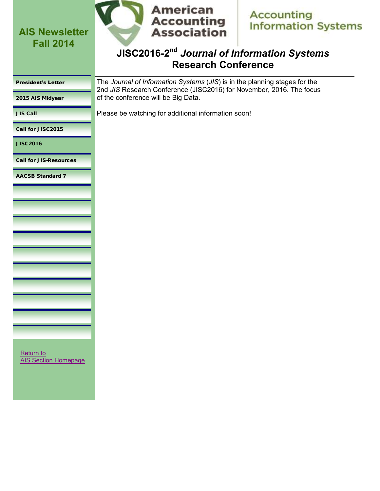

**Accounting Information Systems** 

### **JISC2016-2 nd** *Journal of Information Systems*  **Research Conference**

<span id="page-7-0"></span>

| <b>President's Letter</b> |  |
|---------------------------|--|
|                           |  |

[2015 AIS Midyear](#page-2-0)

The *Journal of Information Systems* (*JIS*) is in the planning stages for the 2nd *JIS* Research Conference (JISC2016) for November, 2016. The focus of the conference will be Big Data.

[JIS Call](#page-3-0)

Please be watching for additional information soon!

[Call for JISC2015](#page-5-0)

JISC2016

[Call for JIS-Resources](#page-8-0)

[AACSB Standard 7](#page-9-0)

[Return to](http://aaahq.org/infosys/index.html)  [AIS Section Homepage](http://aaahq.org/infosys/index.html)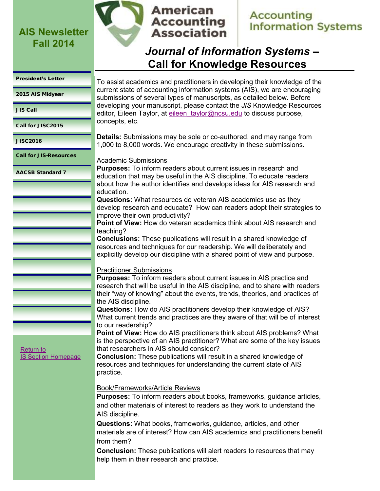

## **American Accounting Association**

## **Accounting Information Systems**

# *Journal of Information Systems* **– Call for Knowledge Resources**

#### <span id="page-8-0"></span>[President's Letter](#page-0-0)

[2015 AIS Midyear](#page-2-0) 

[JIS Call](#page-3-0)

[Call for JISC2015](#page-5-0)

[JISC2016](#page-7-0)

Call for JIS-Resources

[AACSB Standard 7](#page-9-0)

To assist academics and practitioners in developing their knowledge of the current state of accounting information systems (AIS), we are encouraging submissions of several types of manuscripts, as detailed below. Before developing your manuscript, please contact the *JIS* Knowledge Resources editor, Eileen Taylor, at eileen taylor@ncsu.edu to discuss purpose, concepts, etc.

**Details:** Submissions may be sole or co-authored, and may range from 1,000 to 8,000 words. We encourage creativity in these submissions.

### Academic Submissions

**Purposes:** To inform readers about current issues in research and education that may be useful in the AIS discipline. To educate readers about how the author identifies and develops ideas for AIS research and education.

**Questions:** What resources do veteran AIS academics use as they develop research and educate? How can readers adopt their strategies to improve their own productivity?

**Point of View:** How do veteran academics think about AIS research and teaching?

**Conclusions:** These publications will result in a shared knowledge of resources and techniques for our readership. We will deliberately and explicitly develop our discipline with a shared point of view and purpose.

### Practitioner Submissions

**Purposes:** To inform readers about current issues in AIS practice and research that will be useful in the AIS discipline, and to share with readers their "way of knowing" about the events, trends, theories, and practices of the AIS discipline.

**Questions:** How do AIS practitioners develop their knowledge of AIS? What current trends and practices are they aware of that will be of interest to our readership?

**Point of View:** How do AIS practitioners think about AIS problems? What is the perspective of an AIS practitioner? What are some of the key issues that researchers in AIS should consider?

**Conclusion:** These publications will result in a shared knowledge of resources and techniques for understanding the current state of AIS practice.

### Book/Frameworks/Article Reviews

**Purposes:** To inform readers about books, frameworks, guidance articles, and other materials of interest to readers as they work to understand the AIS discipline.

**Questions:** What books, frameworks, guidance, articles, and other materials are of interest? How can AIS academics and practitioners benefit from them?

**Conclusion:** These publications will alert readers to resources that may help them in their research and practice.

[Return to](http://aaahq.org/infosys/index.html)  [IS Section Homepage](http://aaahq.org/infosys/index.html)